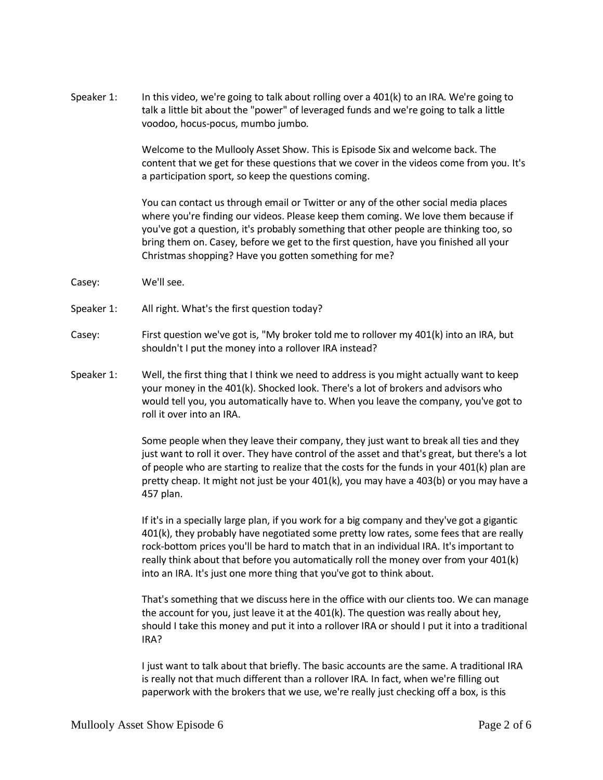Speaker 1: In this video, we're going to talk about rolling over a 401(k) to an IRA. We're going to talk a little bit about the "power" of leveraged funds and we're going to talk a little voodoo, hocus-pocus, mumbo jumbo.

> Welcome to the Mullooly Asset Show. This is Episode Six and welcome back. The content that we get for these questions that we cover in the videos come from you. It's a participation sport, so keep the questions coming.

You can contact us through email or Twitter or any of the other social media places where you're finding our videos. Please keep them coming. We love them because if you've got a question, it's probably something that other people are thinking too, so bring them on. Casey, before we get to the first question, have you finished all your Christmas shopping? Have you gotten something for me?

- Casey: We'll see.
- Speaker 1: All right. What's the first question today?
- Casey: First question we've got is, "My broker told me to rollover my 401(k) into an IRA, but shouldn't I put the money into a rollover IRA instead?
- Speaker 1: Well, the first thing that I think we need to address is you might actually want to keep your money in the 401(k). Shocked look. There's a lot of brokers and advisors who would tell you, you automatically have to. When you leave the company, you've got to roll it over into an IRA.

Some people when they leave their company, they just want to break all ties and they just want to roll it over. They have control of the asset and that's great, but there's a lot of people who are starting to realize that the costs for the funds in your 401(k) plan are pretty cheap. It might not just be your 401(k), you may have a 403(b) or you may have a 457 plan.

If it's in a specially large plan, if you work for a big company and they've got a gigantic 401(k), they probably have negotiated some pretty low rates, some fees that are really rock-bottom prices you'll be hard to match that in an individual IRA. It's important to really think about that before you automatically roll the money over from your 401(k) into an IRA. It's just one more thing that you've got to think about.

That's something that we discuss here in the office with our clients too. We can manage the account for you, just leave it at the 401(k). The question was really about hey, should I take this money and put it into a rollover IRA or should I put it into a traditional IRA?

I just want to talk about that briefly. The basic accounts are the same. A traditional IRA is really not that much different than a rollover IRA. In fact, when we're filling out paperwork with the brokers that we use, we're really just checking off a box, is this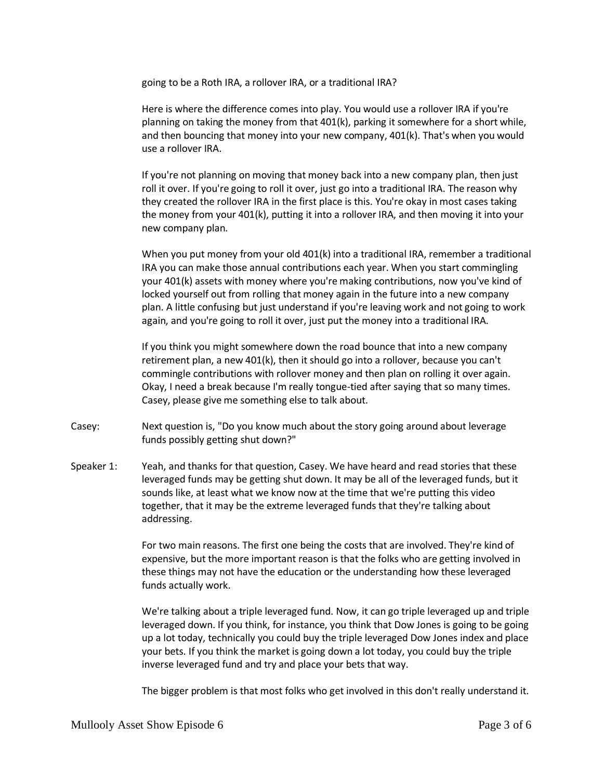going to be a Roth IRA, a rollover IRA, or a traditional IRA?

Here is where the difference comes into play. You would use a rollover IRA if you're planning on taking the money from that 401(k), parking it somewhere for a short while, and then bouncing that money into your new company, 401(k). That's when you would use a rollover IRA.

If you're not planning on moving that money back into a new company plan, then just roll it over. If you're going to roll it over, just go into a traditional IRA. The reason why they created the rollover IRA in the first place is this. You're okay in most cases taking the money from your 401(k), putting it into a rollover IRA, and then moving it into your new company plan.

When you put money from your old 401(k) into a traditional IRA, remember a traditional IRA you can make those annual contributions each year. When you start commingling your 401(k) assets with money where you're making contributions, now you've kind of locked yourself out from rolling that money again in the future into a new company plan. A little confusing but just understand if you're leaving work and not going to work again, and you're going to roll it over, just put the money into a traditional IRA.

If you think you might somewhere down the road bounce that into a new company retirement plan, a new 401(k), then it should go into a rollover, because you can't commingle contributions with rollover money and then plan on rolling it over again. Okay, I need a break because I'm really tongue-tied after saying that so many times. Casey, please give me something else to talk about.

- Casey: Next question is, "Do you know much about the story going around about leverage funds possibly getting shut down?"
- Speaker 1: Yeah, and thanks for that question, Casey. We have heard and read stories that these leveraged funds may be getting shut down. It may be all of the leveraged funds, but it sounds like, at least what we know now at the time that we're putting this video together, that it may be the extreme leveraged funds that they're talking about addressing.

For two main reasons. The first one being the costs that are involved. They're kind of expensive, but the more important reason is that the folks who are getting involved in these things may not have the education or the understanding how these leveraged funds actually work.

We're talking about a triple leveraged fund. Now, it can go triple leveraged up and triple leveraged down. If you think, for instance, you think that Dow Jones is going to be going up a lot today, technically you could buy the triple leveraged Dow Jones index and place your bets. If you think the market is going down a lot today, you could buy the triple inverse leveraged fund and try and place your bets that way.

The bigger problem is that most folks who get involved in this don't really understand it.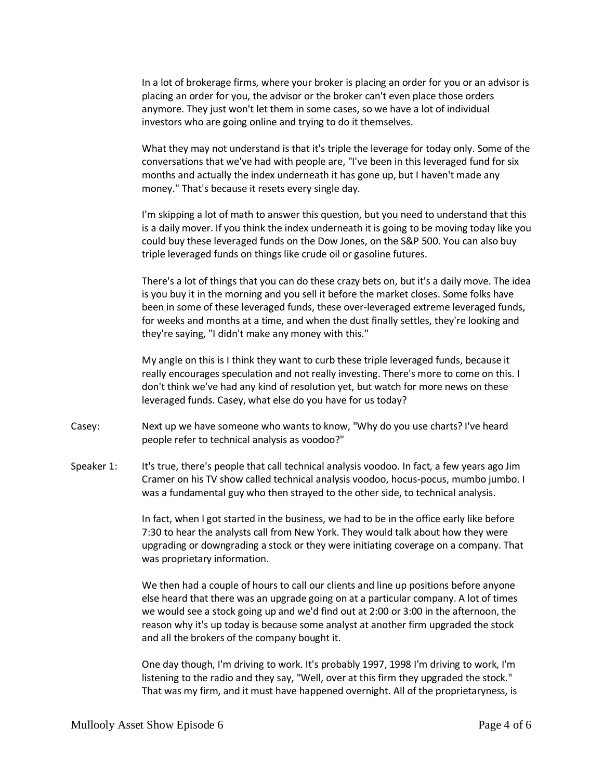In a lot of brokerage firms, where your broker is placing an order for you or an advisor is placing an order for you, the advisor or the broker can't even place those orders anymore. They just won't let them in some cases, so we have a lot of individual investors who are going online and trying to do it themselves.

What they may not understand is that it's triple the leverage for today only. Some of the conversations that we've had with people are, "I've been in this leveraged fund for six months and actually the index underneath it has gone up, but I haven't made any money." That's because it resets every single day.

I'm skipping a lot of math to answer this question, but you need to understand that this is a daily mover. If you think the index underneath it is going to be moving today like you could buy these leveraged funds on the Dow Jones, on the S&P 500. You can also buy triple leveraged funds on things like crude oil or gasoline futures.

There's a lot of things that you can do these crazy bets on, but it's a daily move. The idea is you buy it in the morning and you sell it before the market closes. Some folks have been in some of these leveraged funds, these over-leveraged extreme leveraged funds, for weeks and months at a time, and when the dust finally settles, they're looking and they're saying, "I didn't make any money with this."

My angle on this is I think they want to curb these triple leveraged funds, because it really encourages speculation and not really investing. There's more to come on this. I don't think we've had any kind of resolution yet, but watch for more news on these leveraged funds. Casey, what else do you have for us today?

- Casey: Next up we have someone who wants to know, "Why do you use charts? I've heard people refer to technical analysis as voodoo?"
- Speaker 1: It's true, there's people that call technical analysis voodoo. In fact, a few years ago Jim Cramer on his TV show called technical analysis voodoo, hocus-pocus, mumbo jumbo. I was a fundamental guy who then strayed to the other side, to technical analysis.

In fact, when I got started in the business, we had to be in the office early like before 7:30 to hear the analysts call from New York. They would talk about how they were upgrading or downgrading a stock or they were initiating coverage on a company. That was proprietary information.

We then had a couple of hours to call our clients and line up positions before anyone else heard that there was an upgrade going on at a particular company. A lot of times we would see a stock going up and we'd find out at 2:00 or 3:00 in the afternoon, the reason why it's up today is because some analyst at another firm upgraded the stock and all the brokers of the company bought it.

One day though, I'm driving to work. It's probably 1997, 1998 I'm driving to work, I'm listening to the radio and they say, "Well, over at this firm they upgraded the stock." That was my firm, and it must have happened overnight. All of the proprietaryness, is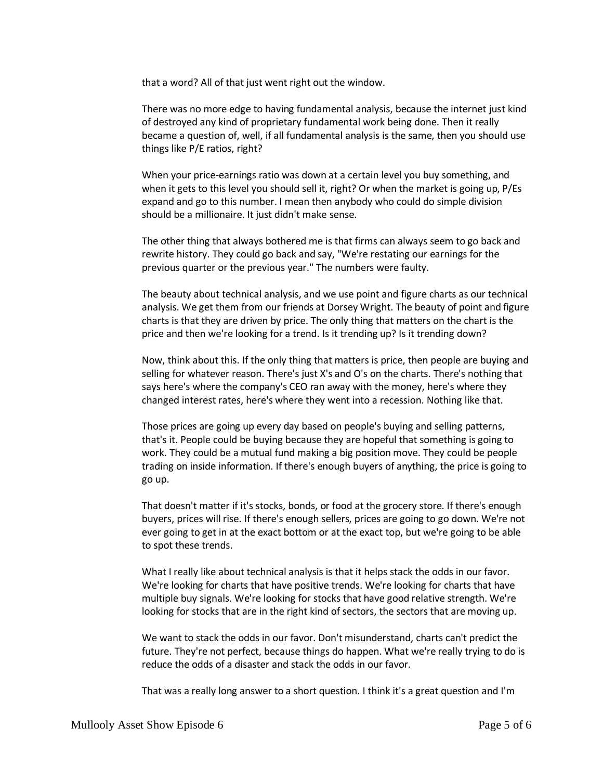that a word? All of that just went right out the window.

There was no more edge to having fundamental analysis, because the internet just kind of destroyed any kind of proprietary fundamental work being done. Then it really became a question of, well, if all fundamental analysis is the same, then you should use things like P/E ratios, right?

When your price-earnings ratio was down at a certain level you buy something, and when it gets to this level you should sell it, right? Or when the market is going up, P/Es expand and go to this number. I mean then anybody who could do simple division should be a millionaire. It just didn't make sense.

The other thing that always bothered me is that firms can always seem to go back and rewrite history. They could go back and say, "We're restating our earnings for the previous quarter or the previous year." The numbers were faulty.

The beauty about technical analysis, and we use point and figure charts as our technical analysis. We get them from our friends at Dorsey Wright. The beauty of point and figure charts is that they are driven by price. The only thing that matters on the chart is the price and then we're looking for a trend. Is it trending up? Is it trending down?

Now, think about this. If the only thing that matters is price, then people are buying and selling for whatever reason. There's just X's and O's on the charts. There's nothing that says here's where the company's CEO ran away with the money, here's where they changed interest rates, here's where they went into a recession. Nothing like that.

Those prices are going up every day based on people's buying and selling patterns, that's it. People could be buying because they are hopeful that something is going to work. They could be a mutual fund making a big position move. They could be people trading on inside information. If there's enough buyers of anything, the price is going to go up.

That doesn't matter if it's stocks, bonds, or food at the grocery store. If there's enough buyers, prices will rise. If there's enough sellers, prices are going to go down. We're not ever going to get in at the exact bottom or at the exact top, but we're going to be able to spot these trends.

What I really like about technical analysis is that it helps stack the odds in our favor. We're looking for charts that have positive trends. We're looking for charts that have multiple buy signals. We're looking for stocks that have good relative strength. We're looking for stocks that are in the right kind of sectors, the sectors that are moving up.

We want to stack the odds in our favor. Don't misunderstand, charts can't predict the future. They're not perfect, because things do happen. What we're really trying to do is reduce the odds of a disaster and stack the odds in our favor.

That was a really long answer to a short question. I think it's a great question and I'm